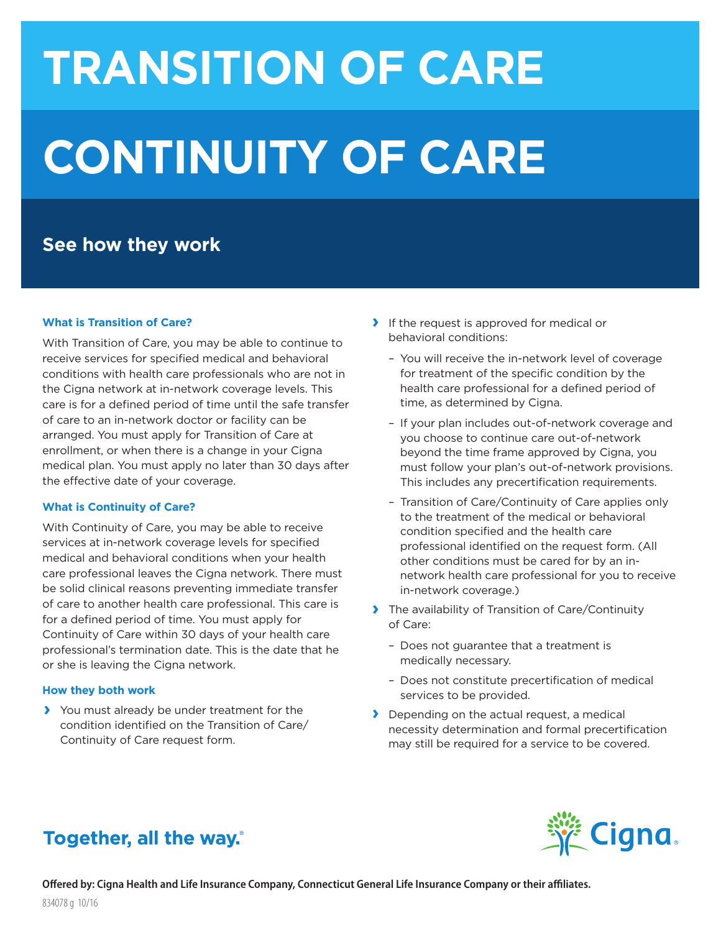# **TRANSITION OF CARE CONTINUITY OF CARE**

## **See how they work**

#### **What is Transition of Care?**

With Transition of Care, you may be able to continue to receive services for specified medical and behavioral conditions with health care professionals who are not in the Cigna network at in-network coverage levels. This care is for a defined period of time until the safe transfer of care to an in-network doctor or facility can be arranged. You must apply for Transition of Care at enrollment, or when there is a change in your Cigna medical plan. You must apply no later than 30 days after the effective date of your coverage.

#### **What is Continuity of Care?**

With Continuity of Care, you may be able to receive services at in-network coverage levels for specified medical and behavioral conditions when your health care professional leaves the Cigna network. There must be solid clinical reasons preventing immediate transfer of care to another health care professional. This care is for a defined period of time. You must apply for Continuity of Care within 30 days of your health care professional's termination date. This is the date that he or she is leaving the Cigna network.

#### **How they both work**

**›** You must already be under treatment for the condition identified on the Transition of Care/ Continuity of Care request form.

- **›** If the request is approved for medical or behavioral conditions:
	- You will receive the in-network level of coverage for treatment of the specific condition by the health care professional for a defined period of time, as determined by Cigna.
	- If your plan includes out-of-network coverage and you choose to continue care out-of-network beyond the time frame approved by Cigna, you must follow your plan's out-of-network provisions. This includes any precertification requirements.
	- Transition of Care/Continuity of Care applies only to the treatment of the medical or behavioral condition specified and the health care professional identified on the request form. (All other conditions must be cared for by an innetwork health care professional for you to receive in-network coverage.)
- **›** The availability of Transition of Care/Continuity of Care:
	- Does not guarantee that a treatment is medically necessary.
	- Does not constitute precertification of medical services to be provided.
- **›** Depending on the actual request, a medical necessity determination and formal precertification may still be required for a service to be covered.

## Together, all the way.

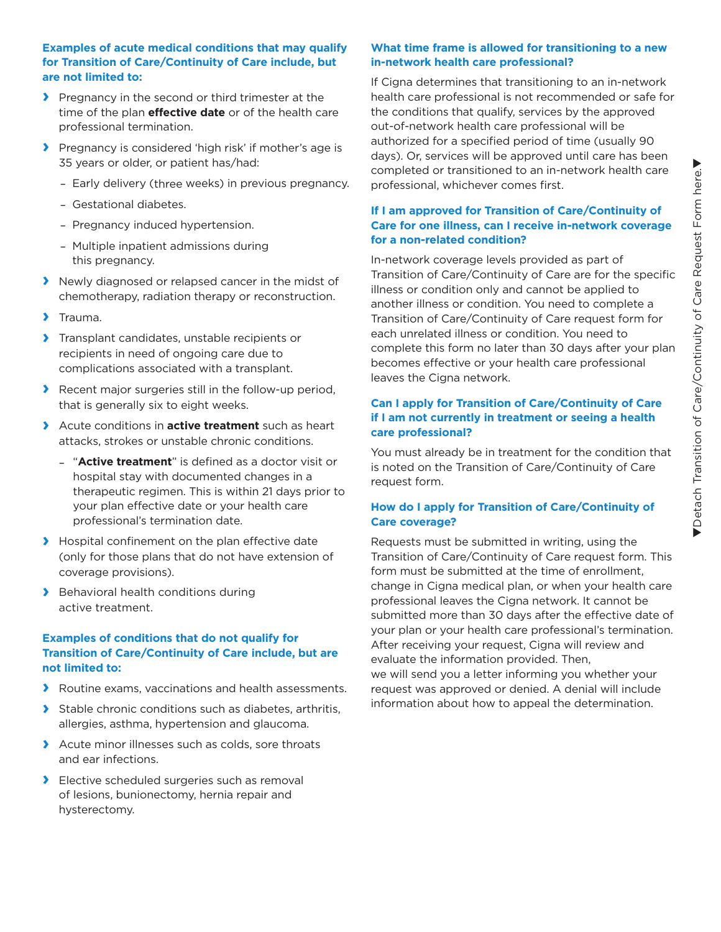#### **Examples of acute medical conditions that may qualify for Transition of Care/Continuity of Care include, but are not limited to:**

- **›** Pregnancy in the second or third trimester at the time of the plan **effective date** or of the health care professional termination.
- **›** Pregnancy is considered 'high risk' if mother's age is 35 years or older, or patient has/had:
	- –Early delivery (three weeks) in previous pregnancy.
	- –Gestational diabetes.
	- –Pregnancy induced hypertension.
	- –Multiple inpatient admissions during this pregnancy.
- **›** Newly diagnosed or relapsed cancer in the midst of chemotherapy, radiation therapy or reconstruction.
- **›** Trauma.
- **›** Transplant candidates, unstable recipients or recipients in need of ongoing care due to complications associated with a transplant.
- **›** Recent major surgeries still in the follow-up period, that is generally six to eight weeks.
- **›** Acute conditions in **active treatment** such as heart attacks, strokes or unstable chronic conditions.
	- "**Active treatment**" is defined as a doctor visit or hospital stay with documented changes in a therapeutic regimen. This is within 21 days prior to your plan effective date or your health care professional's termination date.
- **›** Hospital confinement on the plan effective date (only for those plans that do not have extension of coverage provisions).
- **›** Behavioral health conditions during active treatment.

#### **Examples of conditions that do not qualify for Transition of Care/Continuity of Care include, but are not limited to:**

- **›** Routine exams, vaccinations and health assessments.
- **›** Stable chronic conditions such as diabetes, arthritis, allergies, asthma, hypertension and glaucoma.
- **›** Acute minor illnesses such as colds, sore throats and ear infections.
- **›** Elective scheduled surgeries such as removal of lesions, bunionectomy, hernia repair and hysterectomy.

#### **What time frame is allowed for transitioning to a new in-network health care professional?**

If Cigna determines that transitioning to an in-network health care professional is not recommended or safe for the conditions that qualify, services by the approved out-of-network health care professional will be authorized for a specified period of time (usually 90 days). Or, services will be approved until care has been completed or transitioned to an in-network health care professional, whichever comes first.

#### **If I am approved for Transition of Care/Continuity of Care for one illness, can I receive in-network coverage for a non-related condition?**

In-network coverage levels provided as part of Transition of Care/Continuity of Care are for the specific illness or condition only and cannot be applied to another illness or condition. You need to complete a Transition of Care/Continuity of Care request form for each unrelated illness or condition. You need to complete this form no later than 30 days after your plan becomes effective or your health care professional leaves the Cigna network.

#### **Can I apply for Transition of Care/Continuity of Care if I am not currently in treatment or seeing a health care professional?**

You must already be in treatment for the condition that is noted on the Transition of Care/Continuity of Care request form.

#### **How do I apply for Transition of Care/Continuity of Care coverage?**

Requests must be submitted in writing, using the Transition of Care/Continuity of Care request form. This form must be submitted at the time of enrollment, change in Cigna medical plan, or when your health care professional leaves the Cigna network. It cannot be submitted more than 30 days after the effective date of your plan or your health care professional's termination. After receiving your request, Cigna will review and evaluate the information provided. Then, we will send you a letter informing you whether your request was approved or denied. A denial will include information about how to appeal the determination.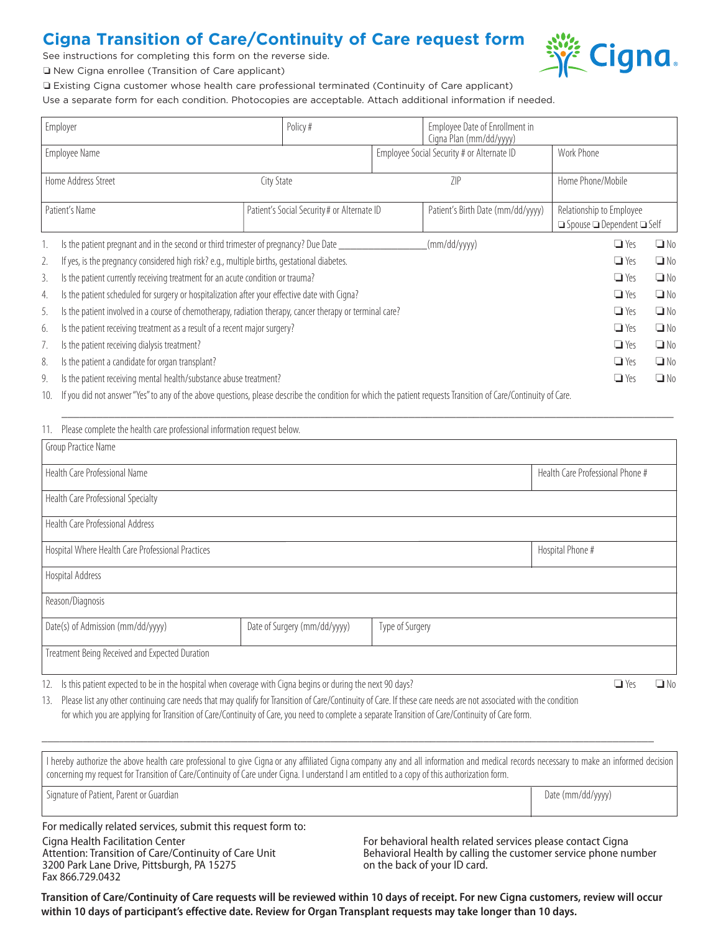## **Cigna Transition of Care/Continuity of Care request form**

See instructions for completing this form on the reverse side.



o New Cigna enrollee (Transition of Care applicant)

o Existing Cigna customer whose health care professional terminated (Continuity of Care applicant)

Use a separate form for each condition. Photocopies are acceptable. Attach additional information if needed.

| Employer            |                                                                                                                                                                 |                                             | Policy# |                                            | Employee Date of Enrollment in<br>Cigna Plan (mm/dd/yyyy) |                                            |           |
|---------------------|-----------------------------------------------------------------------------------------------------------------------------------------------------------------|---------------------------------------------|---------|--------------------------------------------|-----------------------------------------------------------|--------------------------------------------|-----------|
|                     | Employee Name                                                                                                                                                   |                                             |         | Employee Social Security # or Alternate ID |                                                           | Work Phone                                 |           |
|                     |                                                                                                                                                                 |                                             |         |                                            |                                                           |                                            |           |
| Home Address Street |                                                                                                                                                                 | City State                                  |         | 7IP                                        |                                                           | Home Phone/Mobile                          |           |
|                     |                                                                                                                                                                 |                                             |         |                                            |                                                           |                                            |           |
| Patient's Name      |                                                                                                                                                                 | Patient's Social Security # or Alternate ID |         | Patient's Birth Date (mm/dd/yyyy)          | Relationship to Employee                                  |                                            |           |
|                     |                                                                                                                                                                 |                                             |         |                                            |                                                           | $\Box$ Spouse $\Box$ Dependent $\Box$ Self |           |
|                     | Is the patient pregnant and in the second or third trimester of pregnancy? Due Date                                                                             |                                             |         |                                            | (mm/dd/yyyy)                                              | $\Box$ Yes                                 | $\Box$ No |
| 2.                  | If yes, is the pregnancy considered high risk? e.g., multiple births, gestational diabetes.                                                                     |                                             |         |                                            |                                                           | $\Box$ Yes                                 | $\Box$ No |
| 3.                  | Is the patient currently receiving treatment for an acute condition or trauma?                                                                                  |                                             |         |                                            |                                                           | $\Box$ Yes                                 | $\Box$ No |
| 4.                  | Is the patient scheduled for surgery or hospitalization after your effective date with Cigna?<br>$\Box$ Yes                                                     |                                             |         |                                            |                                                           |                                            | $\Box$ No |
| 5.                  | Is the patient involved in a course of chemotherapy, radiation therapy, cancer therapy or terminal care?                                                        |                                             |         |                                            |                                                           |                                            | $\Box$ No |
| 6.                  | Is the patient receiving treatment as a result of a recent major surgery?                                                                                       |                                             |         |                                            | $\Box$ Yes                                                | $\Box$ No                                  |           |
| 7.                  | Is the patient receiving dialysis treatment?                                                                                                                    |                                             |         |                                            |                                                           | $\Box$ Yes                                 | $\Box$ No |
| 8.                  | Is the patient a candidate for organ transplant?                                                                                                                |                                             |         |                                            |                                                           | $\Box$ Yes                                 | $\Box$ No |
| 9.                  | Is the patient receiving mental health/substance abuse treatment?                                                                                               |                                             |         |                                            |                                                           | $\Box$ Yes                                 | $\Box$ No |
| 1 <sup>0</sup>      | If you did not appear "Vee" to any of the above questions, places describe the condition for which the nationt requests Transition of Carel Continuity of Carel |                                             |         |                                            |                                                           |                                            |           |

10. If you did not answer "Yes" to any of the above questions, please describe the condition for which the patient requests Transition of Care/Continuity of Care.

| Please complete the health care professional information request below.<br>11. |                                                                                                                                                                    |  |                          |  |  |  |  |  |  |  |
|--------------------------------------------------------------------------------|--------------------------------------------------------------------------------------------------------------------------------------------------------------------|--|--------------------------|--|--|--|--|--|--|--|
| Group Practice Name                                                            |                                                                                                                                                                    |  |                          |  |  |  |  |  |  |  |
| Health Care Professional Name                                                  | Health Care Professional Phone #                                                                                                                                   |  |                          |  |  |  |  |  |  |  |
| Health Care Professional Specialty                                             |                                                                                                                                                                    |  |                          |  |  |  |  |  |  |  |
| Health Care Professional Address                                               |                                                                                                                                                                    |  |                          |  |  |  |  |  |  |  |
| Hospital Where Health Care Professional Practices                              | Hospital Phone #                                                                                                                                                   |  |                          |  |  |  |  |  |  |  |
| Hospital Address                                                               |                                                                                                                                                                    |  |                          |  |  |  |  |  |  |  |
| Reason/Diagnosis                                                               |                                                                                                                                                                    |  |                          |  |  |  |  |  |  |  |
| Date(s) of Admission (mm/dd/yyyy)                                              | Date of Surgery (mm/dd/yyyy)<br>Type of Surgery                                                                                                                    |  |                          |  |  |  |  |  |  |  |
| Treatment Being Received and Expected Duration                                 |                                                                                                                                                                    |  |                          |  |  |  |  |  |  |  |
|                                                                                | $\mathbf{r}$ , $\mathbf{r}$ , $\mathbf{r}$ , $\mathbf{r}$ , $\mathbf{r}$ , $\mathbf{r}$ , $\mathbf{r}$ , $\mathbf{r}$ , $\mathbf{r}$ , $\mathbf{r}$ , $\mathbf{r}$ |  | $\overline{\phantom{a}}$ |  |  |  |  |  |  |  |

\_\_\_\_\_\_\_\_\_\_\_\_\_\_\_\_\_\_\_\_\_\_\_\_\_\_\_\_\_\_\_\_\_\_\_\_\_\_\_\_\_\_\_\_\_\_\_\_\_\_\_\_\_\_\_\_\_\_\_\_\_\_\_\_\_\_\_\_\_\_\_\_\_\_\_\_\_\_\_\_\_\_\_\_\_\_\_\_\_\_\_\_\_\_\_\_\_\_\_\_\_\_\_\_

12. Is this patient expected to be in the hospital when coverage with Cigna begins or during the next 90 days?  $\square$  Yes  $\square$  No  $\square$  Yes  $\square$  No

13. Please list any other continuing care needs that may qualify for Transition of Care/Continuity of Care. If these care needs are not associated with the condition for which you are applying for Transition of Care/Continuity of Care, you need to complete a separate Transition of Care/Continuity of Care form.

I hereby authorize the above health care professional to give Cigna or any affiliated Cigna company any and all information and medical records necessary to make an informed decision concerning my request for Transition of Care/Continuity of Care under Cigna. I understand I am entitled to a copy of this authorization form. Signature of Patient, Parent or Guardian decrees and the compact of Patient of Date (mm/dd/yyyyy)

\_\_\_\_\_\_\_\_\_\_\_\_\_\_\_\_\_\_\_\_\_\_\_\_\_\_\_\_\_\_\_\_\_\_\_\_\_\_\_\_\_\_\_\_\_\_\_\_\_\_\_\_\_\_\_\_\_\_\_\_\_\_\_\_\_\_\_\_\_\_\_\_\_\_\_\_\_\_\_\_\_\_\_\_\_\_\_\_\_\_\_\_\_\_\_\_\_\_\_\_\_\_\_\_

For medically related services, submit this request form to:

Cigna Health Facilitation Center Attention: Transition of Care/Continuity of Care Unit 3200 Park Lane Drive, Pittsburgh, PA 15275 Fax 866.729.0432

For behavioral health related services please contact Cigna Behavioral Health by calling the customer service phone number on the back of your ID card.

**Transition of Care/Continuity of Care requests will be reviewed within 10 days of receipt. For new Cigna customers, review will occur within 10 days of participant's effective date. Review for Organ Transplant requests may take longer than 10 days.**